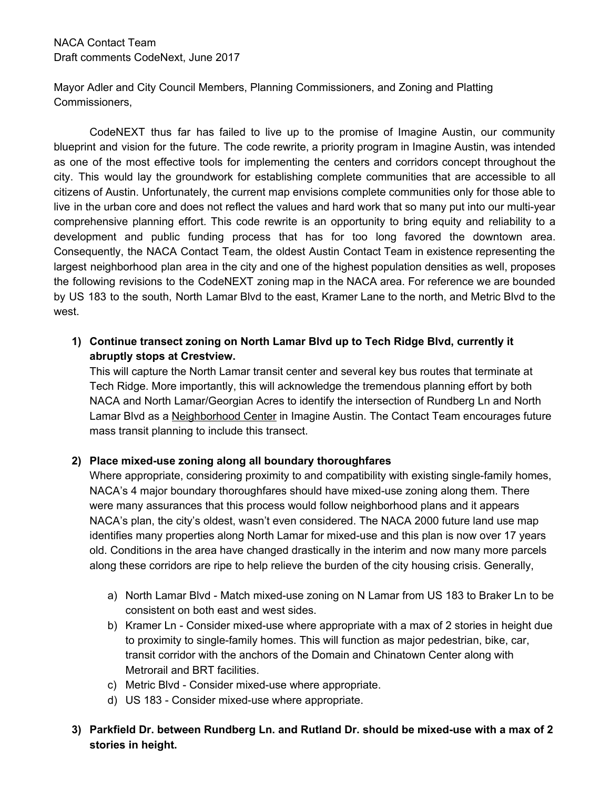Mayor Adler and City Council Members, Planning Commissioners, and Zoning and Platting Commissioners,

CodeNEXT thus far has failed to live up to the promise of Imagine Austin, our community blueprint and vision for the future. The code rewrite, a priority program in Imagine Austin, was intended as one of the most effective tools for implementing the centers and corridors concept throughout the city. This would lay the groundwork for establishing complete communities that are accessible to all citizens of Austin. Unfortunately, the current map envisions complete communities only for those able to live in the urban core and does not reflect the values and hard work that so many put into our multi-year comprehensive planning effort. This code rewrite is an opportunity to bring equity and reliability to a development and public funding process that has for too long favored the downtown area. Consequently, the NACA Contact Team, the oldest Austin Contact Team in existence representing the largest neighborhood plan area in the city and one of the highest population densities as well, proposes the following revisions to the CodeNEXT zoning map in the NACA area. For reference we are bounded by US 183 to the south, North Lamar Blvd to the east, Kramer Lane to the north, and Metric Blvd to the west.

**1) Continue transect zoning on North Lamar Blvd up to Tech Ridge Blvd, currently it abruptly stops at Crestview.**

This will capture the North Lamar transit center and several key bus routes that terminate at Tech Ridge. More importantly, this will acknowledge the tremendous planning effort by both NACA and North Lamar/Georgian Acres to identify the intersection of Rundberg Ln and North Lamar Blvd as a Neighborhood Center in Imagine Austin. The Contact Team encourages future mass transit planning to include this transect.

## **2) Place mixed-use zoning along all boundary thoroughfares**

Where appropriate, considering proximity to and compatibility with existing single-family homes, NACA's 4 major boundary thoroughfares should have mixed-use zoning along them. There were many assurances that this process would follow neighborhood plans and it appears NACA's plan, the city's oldest, wasn't even considered. The NACA 2000 future land use map identifies many properties along North Lamar for mixed-use and this plan is now over 17 years old. Conditions in the area have changed drastically in the interim and now many more parcels along these corridors are ripe to help relieve the burden of the city housing crisis. Generally,

- a) North Lamar Blvd Match mixed-use zoning on N Lamar from US 183 to Braker Ln to be consistent on both east and west sides.
- b) Kramer Ln Consider mixed-use where appropriate with a max of 2 stories in height due to proximity to single-family homes. This will function as major pedestrian, bike, car, transit corridor with the anchors of the Domain and Chinatown Center along with Metrorail and BRT facilities.
- c) Metric Blvd Consider mixed-use where appropriate.
- d) US 183 Consider mixed-use where appropriate.
- **3) Parkfield Dr. between Rundberg Ln. and Rutland Dr. should be mixed-use with a max of 2 stories in height.**